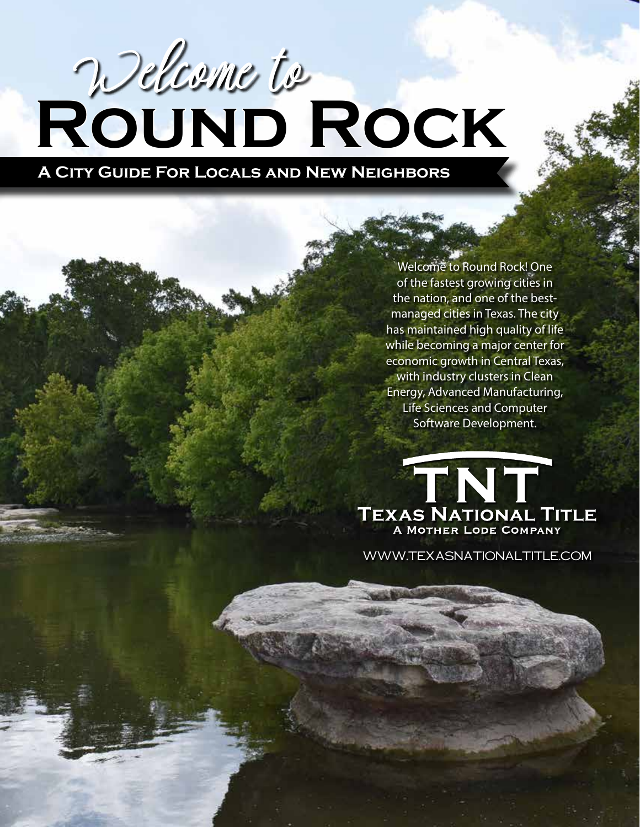# **Round Rock** Welcome to

**A City Guide For Locals and New Neighbors**

Welcome to Round Rock! One of the fastest growing cities in the nation, and one of the bestmanaged cities in Texas. The city has maintained high quality of life while becoming a major center for economic growth in Central Texas, with industry clusters in Clean Energy, Advanced Manufacturing, Life Sciences and Computer Software Development.

TNT **TEXAS NATIONAL TITLE** A MOTHER LODE COMPANY

www.TexasNationalTitle.com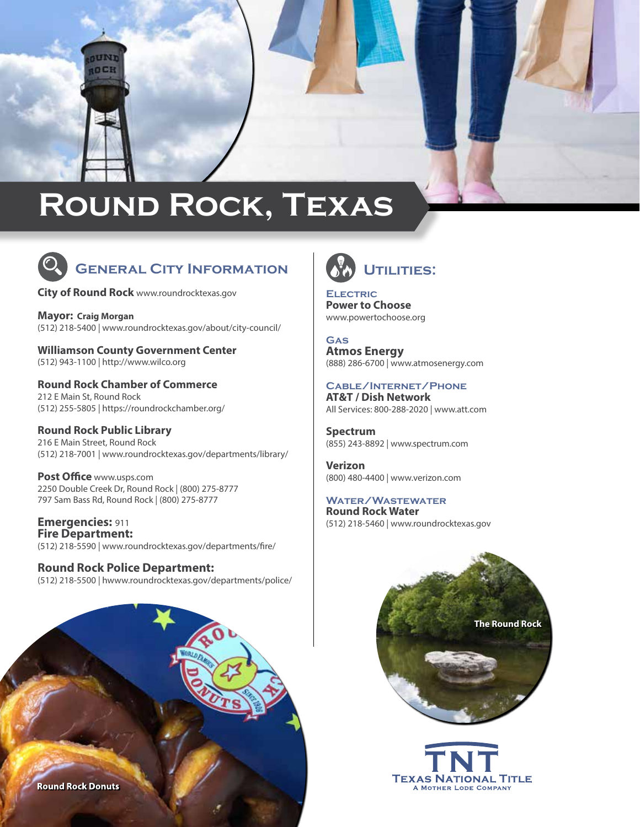# **Round Rock, Texas**



# **General City Information**

**City of Round Rock** [www.roundrocktexas.gov](https://www.roundrocktexas.gov/)

CUND **IOCH** 

**Mayor: Craig Morgan** (512) 218-5400 | [www.roundrocktexas.gov/about/city-council/](https://www.roundrocktexas.gov/about/city-council/)

**Williamson County Government Center** (512) 943-1100 | [http://www.wilco.org](http://www.wilco.org/)

**Round Rock Chamber of Commerce** 212 E Main St, Round Rock (512) 255-5805 | <https://roundrockchamber.org/>

**Round Rock Public Library** 216 E Main Street, Round Rock (512) 218-7001 | [www.roundrocktexas.gov/departments/library/](https://www.roundrocktexas.gov/departments/library/)

**Post Office** [www.usps.com](http://www.usps.com) 2250 Double Creek Dr, Round Rock | (800) 275-8777 797 Sam Bass Rd, Round Rock | (800) 275-8777

**Emergencies:** 911 **Fire Department:** (512) 218-5590 | [www.roundrocktexas.gov/departments/fire/](https://www.roundrocktexas.gov/departments/fire/)

**Round Rock Police Department:**  (512) 218-5500 | [hwww.roundrocktexas.gov/d](https://www.roundrocktexas.gov/departments/police/)epartments/police/





**Electric Power to Choose** [www.powertochoose.org](http://www.powertochoose.org/)

**Gas Atmos Energy** (888) 286-6700 | [www.atmosenergy.com](http://www.atmosenergy.com)

## **Cable/Internet/Phone**

**AT&T / Dish Network**  All Services: 800-288-2020 | <www.att.com>

**Spectrum** (855) 243-8892 | [www.spectrum.com](https://www.spectrum.com/?cmp=TWC)

**Verizon** (800) 480-4400 | [www.verizon.com](http://www.verizon.com)

**Water/Wastewater Round Rock Water** (512) 218-5460 | www.roundrocktexas.gov



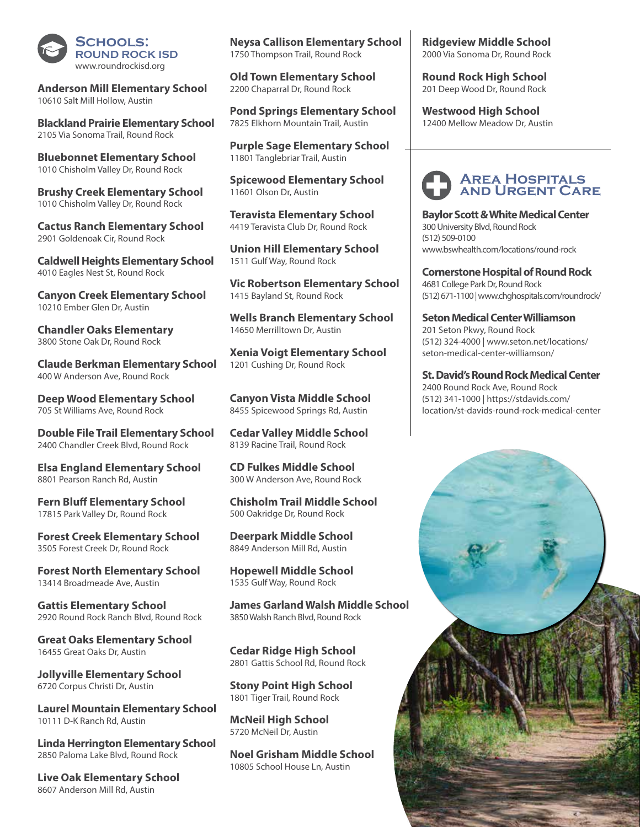

**Anderson Mill Elementary School** 10610 Salt Mill Hollow, Austin

**Blackland Prairie Elementary School**  2105 Via Sonoma Trail, Round Rock

**Bluebonnet Elementary School** 1010 Chisholm Valley Dr, Round Rock

**Brushy Creek Elementary School**  1010 Chisholm Valley Dr, Round Rock

**Cactus Ranch Elementary School** 2901 Goldenoak Cir, Round Rock

**Caldwell Heights Elementary School**  4010 Eagles Nest St, Round Rock

**Canyon Creek Elementary School** 10210 Ember Glen Dr, Austin

**Chandler Oaks Elementary** 3800 Stone Oak Dr, Round Rock

**Claude Berkman Elementary School** 400 W Anderson Ave, Round Rock

**Deep Wood Elementary School**  705 St Williams Ave, Round Rock

**Double File Trail Elementary School** 2400 Chandler Creek Blvd, Round Rock

**Elsa England Elementary School** 8801 Pearson Ranch Rd, Austin

**Fern Bluff Elementary School** 17815 Park Valley Dr, Round Rock

**Forest Creek Elementary School** 3505 Forest Creek Dr, Round Rock

**Forest North Elementary School**  13414 Broadmeade Ave, Austin

**Gattis Elementary School** 2920 Round Rock Ranch Blvd, Round Rock

**Great Oaks Elementary School** 16455 Great Oaks Dr, Austin

**Jollyville Elementary School** 6720 Corpus Christi Dr, Austin

**Laurel Mountain Elementary School** 10111 D-K Ranch Rd, Austin

**Linda Herrington Elementary School** 2850 Paloma Lake Blvd, Round Rock

**Live Oak Elementary School**  8607 Anderson Mill Rd, Austin

**Neysa Callison Elementary School**  1750 Thompson Trail, Round Rock

**Old Town Elementary School** 2200 Chaparral Dr, Round Rock

**Pond Springs Elementary School**  7825 Elkhorn Mountain Trail, Austin

**Purple Sage Elementary School** 11801 Tanglebriar Trail, Austin

**Spicewood Elementary School**  11601 Olson Dr, Austin

**Teravista Elementary School** 4419 Teravista Club Dr, Round Rock

**Union Hill Elementary School** 1511 Gulf Way, Round Rock

**Vic Robertson Elementary School** 1415 Bayland St, Round Rock

**Wells Branch Elementary School**  14650 Merrilltown Dr, Austin

**Xenia Voigt Elementary School**  1201 Cushing Dr, Round Rock

**Canyon Vista Middle School**  8455 Spicewood Springs Rd, Austin

**Cedar Valley Middle School** 8139 Racine Trail, Round Rock

**CD Fulkes Middle School** 300 W Anderson Ave, Round Rock

**Chisholm Trail Middle School** 500 Oakridge Dr, Round Rock

**Deerpark Middle School** 8849 Anderson Mill Rd, Austin

**Hopewell Middle School** 1535 Gulf Way, Round Rock

**James Garland Walsh Middle School** 3850 Walsh Ranch Blvd, Round Rock

**Cedar Ridge High School**  2801 Gattis School Rd, Round Rock

**Stony Point High School** 1801 Tiger Trail, Round Rock

**McNeil High School** 5720 McNeil Dr, Austin

**Noel Grisham Middle School** 10805 School House Ln, Austin

**Ridgeview Middle School**  2000 Via Sonoma Dr, Round Rock

**Round Rock High School**  201 Deep Wood Dr, Round Rock

**Westwood High School** 12400 Mellow Meadow Dr, Austin

### **Area Hospitals and Urgent Care**

**Baylor Scott & White Medical Center** 300 University Blvd, Round Rock (512) 509-0100 [www.bswhealth.com/locations/round-rock](https://www.bswhealth.com/locations/round-rock)

**Cornerstone Hospital of Round Rock** 4681 College Park Dr, Round Rock (512) 671-1100 | [www.chghospitals.com/roundrock/](http://www.chghospitals.com/roundrock/)

**Seton Medical Center Williamson**  201 Seton Pkwy, Round Rock (512) 324-4000 | [www.seton.net/locations/](https://www.seton.net/locations/seton-medical-center-williamson/) [seton-medical-center-williamson/](https://www.seton.net/locations/seton-medical-center-williamson/)

**St. David's Round Rock Medical Center** 2400 Round Rock Ave, Round Rock (512) 341-1000 | [https://stdavids.com/](https://stdavids.com/location/st-davids-round-rock-medical-center)

[location/st-davids-round-rock-medical-center](https://stdavids.com/location/st-davids-round-rock-medical-center)